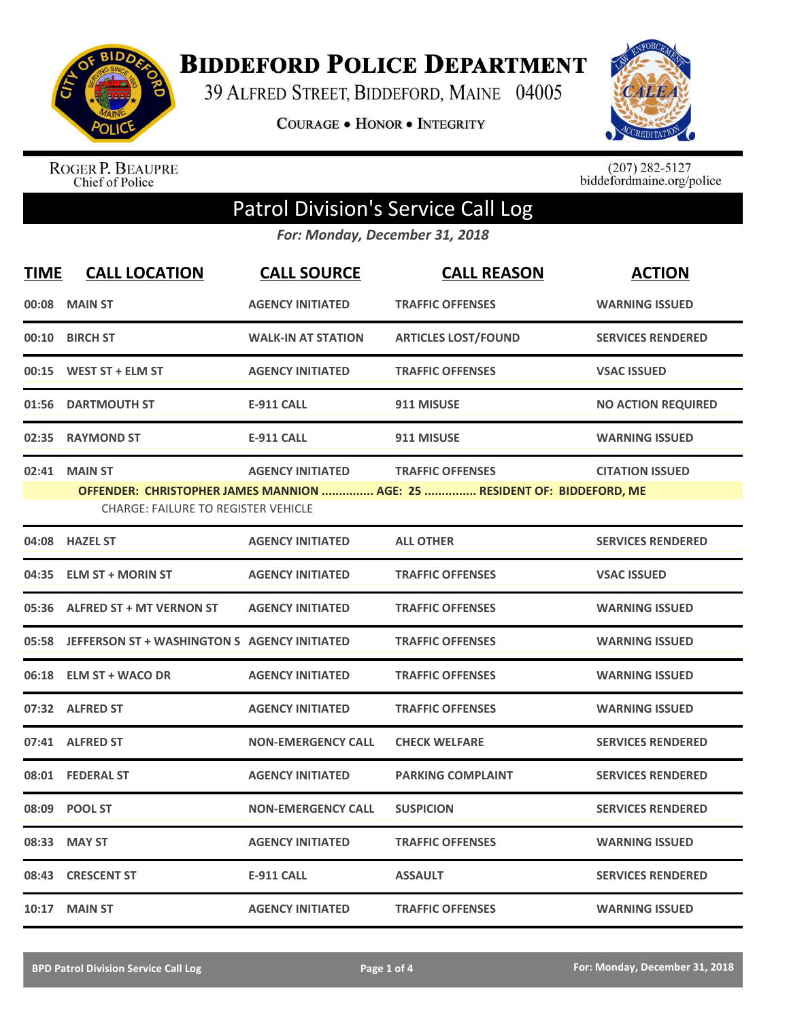

**BIDDEFORD POLICE DEPARTMENT** 

39 ALFRED STREET, BIDDEFORD, MAINE 04005

**COURAGE . HONOR . INTEGRITY** 



ROGER P. BEAUPRE<br>Chief of Police

 $(207)$  282-5127<br>biddefordmaine.org/police

## Patrol Division's Service Call Log

*For: Monday, December 31, 2018*

| <b>TIME</b> | <b>CALL LOCATION</b>                                         | <b>CALL SOURCE</b>        | <b>CALL REASON</b>                                                                                  | <b>ACTION</b>             |
|-------------|--------------------------------------------------------------|---------------------------|-----------------------------------------------------------------------------------------------------|---------------------------|
|             | 00:08 MAIN ST                                                | <b>AGENCY INITIATED</b>   | <b>TRAFFIC OFFENSES</b>                                                                             | <b>WARNING ISSUED</b>     |
| 00:10       | <b>BIRCH ST</b>                                              | <b>WALK-IN AT STATION</b> | <b>ARTICLES LOST/FOUND</b>                                                                          | <b>SERVICES RENDERED</b>  |
|             | 00:15 WEST ST + ELM ST                                       | <b>AGENCY INITIATED</b>   | <b>TRAFFIC OFFENSES</b>                                                                             | <b>VSAC ISSUED</b>        |
| 01:56       | <b>DARTMOUTH ST</b>                                          | <b>E-911 CALL</b>         | 911 MISUSE                                                                                          | <b>NO ACTION REQUIRED</b> |
| 02:35       | <b>RAYMOND ST</b>                                            | <b>E-911 CALL</b>         | 911 MISUSE                                                                                          | <b>WARNING ISSUED</b>     |
| 02:41       | <b>MAIN ST</b><br><b>CHARGE: FAILURE TO REGISTER VEHICLE</b> | <b>AGENCY INITIATED</b>   | <b>TRAFFIC OFFENSES</b><br>OFFENDER: CHRISTOPHER JAMES MANNION  AGE: 25  RESIDENT OF: BIDDEFORD, ME | <b>CITATION ISSUED</b>    |
|             | 04:08 HAZEL ST                                               | <b>AGENCY INITIATED</b>   | <b>ALL OTHER</b>                                                                                    | <b>SERVICES RENDERED</b>  |
| 04:35       | <b>ELM ST + MORIN ST</b>                                     | <b>AGENCY INITIATED</b>   | <b>TRAFFIC OFFENSES</b>                                                                             | <b>VSAC ISSUED</b>        |
| 05:36       | <b>ALFRED ST + MT VERNON ST</b>                              | <b>AGENCY INITIATED</b>   | <b>TRAFFIC OFFENSES</b>                                                                             | <b>WARNING ISSUED</b>     |
| 05:58       | JEFFERSON ST + WASHINGTON S AGENCY INITIATED                 |                           | <b>TRAFFIC OFFENSES</b>                                                                             | <b>WARNING ISSUED</b>     |
| 06:18       | <b>ELM ST + WACO DR</b>                                      | <b>AGENCY INITIATED</b>   | <b>TRAFFIC OFFENSES</b>                                                                             | <b>WARNING ISSUED</b>     |
|             | 07:32 ALFRED ST                                              | <b>AGENCY INITIATED</b>   | <b>TRAFFIC OFFENSES</b>                                                                             | <b>WARNING ISSUED</b>     |
|             | 07:41 ALFRED ST                                              | <b>NON-EMERGENCY CALL</b> | <b>CHECK WELFARE</b>                                                                                | <b>SERVICES RENDERED</b>  |
|             | 08:01 FEDERAL ST                                             | <b>AGENCY INITIATED</b>   | <b>PARKING COMPLAINT</b>                                                                            | <b>SERVICES RENDERED</b>  |
|             | 08:09 POOL ST                                                | <b>NON-EMERGENCY CALL</b> | <b>SUSPICION</b>                                                                                    | <b>SERVICES RENDERED</b>  |
| 08:33       | <b>MAY ST</b>                                                | <b>AGENCY INITIATED</b>   | <b>TRAFFIC OFFENSES</b>                                                                             | <b>WARNING ISSUED</b>     |
| 08:43       | <b>CRESCENT ST</b>                                           | <b>E-911 CALL</b>         | <b>ASSAULT</b>                                                                                      | <b>SERVICES RENDERED</b>  |
|             | 10:17 MAIN ST                                                | <b>AGENCY INITIATED</b>   | <b>TRAFFIC OFFENSES</b>                                                                             | <b>WARNING ISSUED</b>     |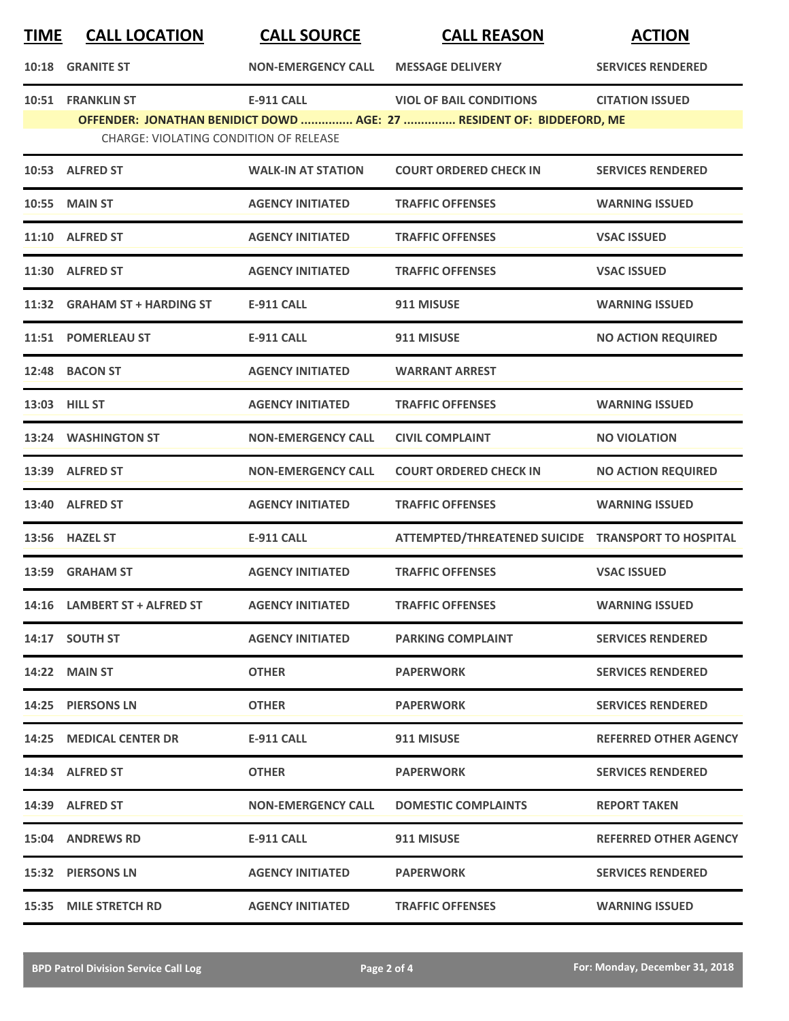| <b>TIME</b> | <b>CALL LOCATION</b>                                               | <b>CALL SOURCE</b>        | <b>CALL REASON</b>                                                                                      | <b>ACTION</b>                |
|-------------|--------------------------------------------------------------------|---------------------------|---------------------------------------------------------------------------------------------------------|------------------------------|
|             | <b>10:18 GRANITE ST</b>                                            | <b>NON-EMERGENCY CALL</b> | <b>MESSAGE DELIVERY</b>                                                                                 | <b>SERVICES RENDERED</b>     |
|             | 10:51 FRANKLIN ST<br><b>CHARGE: VIOLATING CONDITION OF RELEASE</b> | <b>E-911 CALL</b>         | <b>VIOL OF BAIL CONDITIONS</b><br>OFFENDER: JONATHAN BENIDICT DOWD  AGE: 27  RESIDENT OF: BIDDEFORD, ME | <b>CITATION ISSUED</b>       |
|             | 10:53 ALFRED ST                                                    | <b>WALK-IN AT STATION</b> | <b>COURT ORDERED CHECK IN</b>                                                                           | <b>SERVICES RENDERED</b>     |
|             | 10:55 MAIN ST                                                      | <b>AGENCY INITIATED</b>   | <b>TRAFFIC OFFENSES</b>                                                                                 | <b>WARNING ISSUED</b>        |
|             | 11:10 ALFRED ST                                                    | <b>AGENCY INITIATED</b>   | <b>TRAFFIC OFFENSES</b>                                                                                 | <b>VSAC ISSUED</b>           |
|             | 11:30 ALFRED ST                                                    | <b>AGENCY INITIATED</b>   | <b>TRAFFIC OFFENSES</b>                                                                                 | <b>VSAC ISSUED</b>           |
|             | 11:32 GRAHAM ST + HARDING ST                                       | <b>E-911 CALL</b>         | 911 MISUSE                                                                                              | <b>WARNING ISSUED</b>        |
|             | 11:51 POMERLEAU ST                                                 | <b>E-911 CALL</b>         | 911 MISUSE                                                                                              | <b>NO ACTION REQUIRED</b>    |
|             | 12:48 BACON ST                                                     | <b>AGENCY INITIATED</b>   | <b>WARRANT ARREST</b>                                                                                   |                              |
|             | 13:03 HILL ST                                                      | <b>AGENCY INITIATED</b>   | <b>TRAFFIC OFFENSES</b>                                                                                 | <b>WARNING ISSUED</b>        |
|             | 13:24 WASHINGTON ST                                                | <b>NON-EMERGENCY CALL</b> | <b>CIVIL COMPLAINT</b>                                                                                  | <b>NO VIOLATION</b>          |
|             | 13:39 ALFRED ST                                                    | <b>NON-EMERGENCY CALL</b> | <b>COURT ORDERED CHECK IN</b>                                                                           | <b>NO ACTION REQUIRED</b>    |
|             | 13:40 ALFRED ST                                                    | <b>AGENCY INITIATED</b>   | <b>TRAFFIC OFFENSES</b>                                                                                 | <b>WARNING ISSUED</b>        |
|             | 13:56 HAZEL ST                                                     | <b>E-911 CALL</b>         | ATTEMPTED/THREATENED SUICIDE TRANSPORT TO HOSPITAL                                                      |                              |
|             | 13:59 GRAHAM ST                                                    | <b>AGENCY INITIATED</b>   | <b>TRAFFIC OFFENSES</b>                                                                                 | <b>VSAC ISSUED</b>           |
|             | 14:16 LAMBERT ST + ALFRED ST                                       | <b>AGENCY INITIATED</b>   | <b>TRAFFIC OFFENSES</b>                                                                                 | <b>WARNING ISSUED</b>        |
|             | 14:17 SOUTH ST                                                     | <b>AGENCY INITIATED</b>   | <b>PARKING COMPLAINT</b>                                                                                | <b>SERVICES RENDERED</b>     |
|             | 14:22 MAIN ST                                                      | <b>OTHER</b>              | <b>PAPERWORK</b>                                                                                        | <b>SERVICES RENDERED</b>     |
|             | 14:25 PIERSONS LN                                                  | <b>OTHER</b>              | <b>PAPERWORK</b>                                                                                        | <b>SERVICES RENDERED</b>     |
|             | 14:25 MEDICAL CENTER DR                                            | <b>E-911 CALL</b>         | 911 MISUSE                                                                                              | <b>REFERRED OTHER AGENCY</b> |
|             | 14:34 ALFRED ST                                                    | <b>OTHER</b>              | <b>PAPERWORK</b>                                                                                        | <b>SERVICES RENDERED</b>     |
|             | 14:39 ALFRED ST                                                    | <b>NON-EMERGENCY CALL</b> | <b>DOMESTIC COMPLAINTS</b>                                                                              | <b>REPORT TAKEN</b>          |
|             | <b>15:04 ANDREWS RD</b>                                            | <b>E-911 CALL</b>         | 911 MISUSE                                                                                              | <b>REFERRED OTHER AGENCY</b> |
|             | 15:32 PIERSONS LN                                                  | <b>AGENCY INITIATED</b>   | <b>PAPERWORK</b>                                                                                        | <b>SERVICES RENDERED</b>     |
| 15:35       | <b>MILE STRETCH RD</b>                                             | <b>AGENCY INITIATED</b>   | <b>TRAFFIC OFFENSES</b>                                                                                 | <b>WARNING ISSUED</b>        |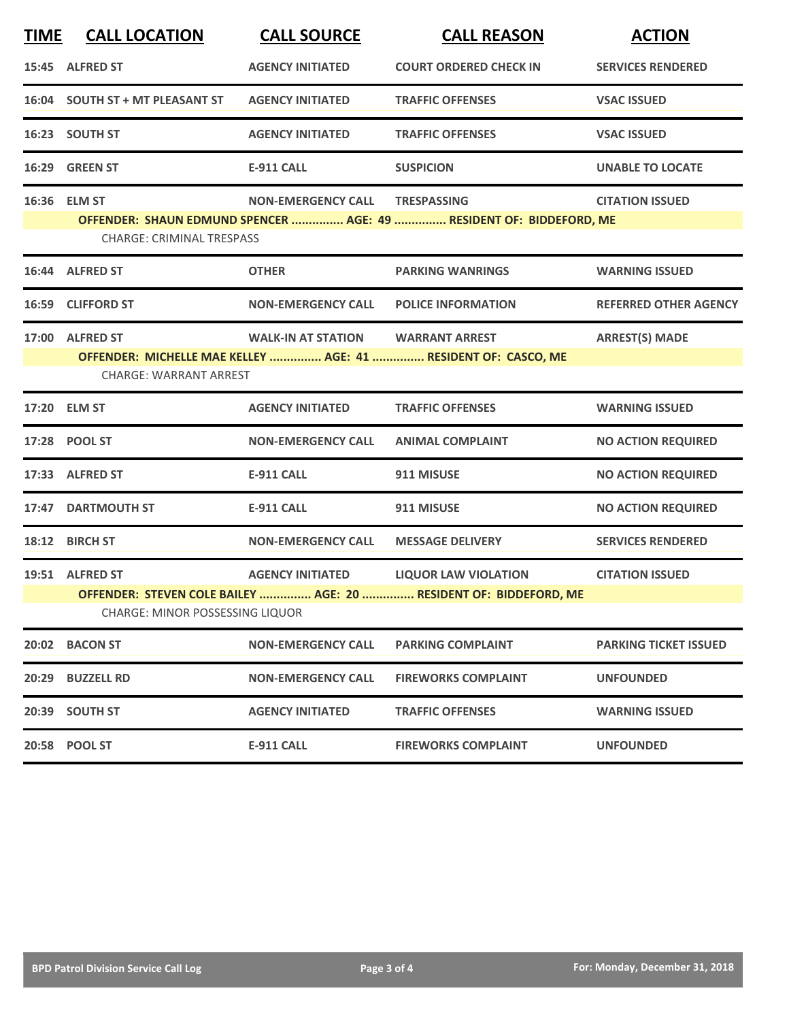| <b>TIME</b> | <b>CALL LOCATION</b>                                      | <b>CALL SOURCE</b>                | <b>CALL REASON</b>                                                                               | <b>ACTION</b>                |
|-------------|-----------------------------------------------------------|-----------------------------------|--------------------------------------------------------------------------------------------------|------------------------------|
|             | 15:45 ALFRED ST                                           | <b>AGENCY INITIATED</b>           | <b>COURT ORDERED CHECK IN</b>                                                                    | <b>SERVICES RENDERED</b>     |
|             | 16:04 SOUTH ST + MT PLEASANT ST                           | <b>AGENCY INITIATED</b>           | <b>TRAFFIC OFFENSES</b>                                                                          | <b>VSAC ISSUED</b>           |
|             | 16:23 SOUTH ST                                            | <b>AGENCY INITIATED</b>           | <b>TRAFFIC OFFENSES</b>                                                                          | <b>VSAC ISSUED</b>           |
|             | 16:29 GREEN ST                                            | <b>E-911 CALL</b>                 | <b>SUSPICION</b>                                                                                 | <b>UNABLE TO LOCATE</b>      |
|             | 16:36 ELM ST<br><b>CHARGE: CRIMINAL TRESPASS</b>          | <b>NON-EMERGENCY CALL</b>         | <b>TRESPASSING</b><br>OFFENDER: SHAUN EDMUND SPENCER  AGE: 49  RESIDENT OF: BIDDEFORD, ME        | <b>CITATION ISSUED</b>       |
|             | 16:44 ALFRED ST                                           | <b>OTHER</b>                      | <b>PARKING WANRINGS</b>                                                                          | <b>WARNING ISSUED</b>        |
|             | 16:59 CLIFFORD ST                                         | <b>NON-EMERGENCY CALL</b>         | <b>POLICE INFORMATION</b>                                                                        | <b>REFERRED OTHER AGENCY</b> |
|             | 17:00 ALFRED ST<br><b>CHARGE: WARRANT ARREST</b>          | WALK-IN AT STATION WARRANT ARREST | OFFENDER: MICHELLE MAE KELLEY  AGE: 41  RESIDENT OF: CASCO, ME                                   | <b>ARREST(S) MADE</b>        |
|             | 17:20 ELM ST                                              | <b>AGENCY INITIATED</b>           | <b>TRAFFIC OFFENSES</b>                                                                          | <b>WARNING ISSUED</b>        |
|             | 17:28 POOL ST                                             | <b>NON-EMERGENCY CALL</b>         | <b>ANIMAL COMPLAINT</b>                                                                          | <b>NO ACTION REQUIRED</b>    |
|             | 17:33 ALFRED ST                                           | <b>E-911 CALL</b>                 | 911 MISUSE                                                                                       | <b>NO ACTION REQUIRED</b>    |
|             | 17:47 DARTMOUTH ST                                        | <b>E-911 CALL</b>                 | 911 MISUSE                                                                                       | <b>NO ACTION REQUIRED</b>    |
|             | 18:12 BIRCH ST                                            | <b>NON-EMERGENCY CALL</b>         | <b>MESSAGE DELIVERY</b>                                                                          | <b>SERVICES RENDERED</b>     |
|             | 19:51 ALFRED ST<br><b>CHARGE: MINOR POSSESSING LIQUOR</b> | <b>AGENCY INITIATED</b>           | <b>LIQUOR LAW VIOLATION</b><br>OFFENDER: STEVEN COLE BAILEY  AGE: 20  RESIDENT OF: BIDDEFORD, ME | <b>CITATION ISSUED</b>       |
|             | 20:02 BACON ST                                            | <b>NON-EMERGENCY CALL</b>         | <b>PARKING COMPLAINT</b>                                                                         | <b>PARKING TICKET ISSUED</b> |
| 20:29       | <b>BUZZELL RD</b>                                         | <b>NON-EMERGENCY CALL</b>         | <b>FIREWORKS COMPLAINT</b>                                                                       | <b>UNFOUNDED</b>             |
|             | 20:39 SOUTH ST                                            | <b>AGENCY INITIATED</b>           | <b>TRAFFIC OFFENSES</b>                                                                          | <b>WARNING ISSUED</b>        |
|             | 20:58 POOL ST                                             | <b>E-911 CALL</b>                 | <b>FIREWORKS COMPLAINT</b>                                                                       | <b>UNFOUNDED</b>             |